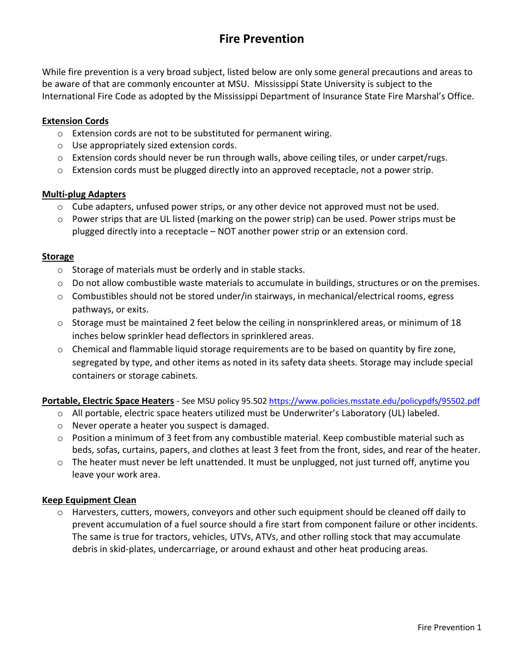# **Fire Prevention**

While fire prevention is a very broad subject, listed below are only some general precautions and areas to be aware of that are commonly encounter at MSU. Mississippi State University is subject to the International Fire Code as adopted by the Mississippi Department of Insurance State Fire Marshal's Office.

#### **Extension Cords**

- o Extension cords are not to be substituted for permanent wiring.
- o Use appropriately sized extension cords.
- o Extension cords should never be run through walls, above ceiling tiles, or under carpet/rugs.
- o Extension cords must be plugged directly into an approved receptacle, not a power strip.

#### **Multi-plug Adapters**

- o Cube adapters, unfused power strips, or any other device not approved must not be used.
- o Power strips that are UL listed (marking on the power strip) can be used. Power strips must be plugged directly into a receptacle – NOT another power strip or an extension cord.

#### **Storage**

- o Storage of materials must be orderly and in stable stacks.
- o Do not allow combustible waste materials to accumulate in buildings, structures or on the premises.
- $\circ$  Combustibles should not be stored under/in stairways, in mechanical/electrical rooms, egress pathways, or exits.
- $\circ$  Storage must be maintained 2 feet below the ceiling in nonsprinklered areas, or minimum of 18 inches below sprinkler head deflectors in sprinklered areas.
- o Chemical and flammable liquid storage requirements are to be based on quantity by fire zone, segregated by type, and other items as noted in its safety data sheets. Storage may include special containers or storage cabinets.

**Portable, Electric Space Heaters** - See MSU policy 95.502<https://www.policies.msstate.edu/policypdfs/95502.pdf>

- o All portable, electric space heaters utilized must be Underwriter's Laboratory (UL) labeled.
- o Never operate a heater you suspect is damaged.
- $\circ$  Position a minimum of 3 feet from any combustible material. Keep combustible material such as beds, sofas, curtains, papers, and clothes at least 3 feet from the front, sides, and rear of the heater.
- $\circ$  The heater must never be left unattended. It must be unplugged, not just turned off, anytime you leave your work area.

## **Keep Equipment Clean**

o Harvesters, cutters, mowers, conveyors and other such equipment should be cleaned off daily to prevent accumulation of a fuel source should a fire start from component failure or other incidents. The same is true for tractors, vehicles, UTVs, ATVs, and other rolling stock that may accumulate debris in skid-plates, undercarriage, or around exhaust and other heat producing areas.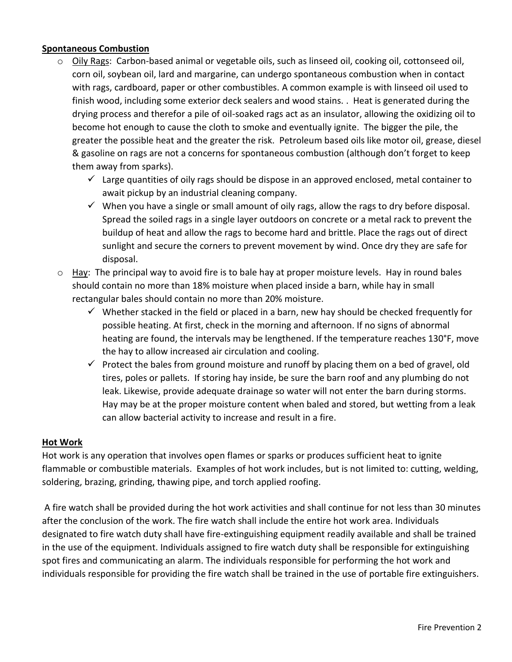## **Spontaneous Combustion**

- o Oily Rags: Carbon-based animal or vegetable oils, such as linseed oil, cooking oil, cottonseed oil, corn oil, soybean oil, lard and margarine, can undergo spontaneous combustion when in contact with rags, cardboard, paper or other combustibles. A common example is with linseed oil used to finish wood, including some exterior deck sealers and wood stains. . Heat is generated during the drying process and therefor a pile of oil-soaked rags act as an insulator, allowing the oxidizing oil to become hot enough to cause the cloth to smoke and eventually ignite. The bigger the pile, the greater the possible heat and the greater the risk. Petroleum based oils like motor oil, grease, diesel & gasoline on rags are not a concerns for spontaneous combustion (although don't forget to keep them away from sparks).
	- $\checkmark$  Large quantities of oily rags should be dispose in an approved enclosed, metal container to await pickup by an industrial cleaning company.
	- $\checkmark$  When you have a single or small amount of oily rags, allow the rags to dry before disposal. Spread the soiled rags in a single layer outdoors on concrete or a metal rack to prevent the buildup of heat and allow the rags to become hard and brittle. Place the rags out of direct sunlight and secure the corners to prevent movement by wind. Once dry they are safe for disposal.
- $\circ$  Hay: The principal way to avoid fire is to bale hay at proper moisture levels. Hay in round bales should contain no more than 18% moisture when placed inside a barn, while hay in small rectangular bales should contain no more than 20% moisture.
	- $\checkmark$  Whether stacked in the field or placed in a barn, new hay should be checked frequently for possible heating. At first, check in the morning and afternoon. If no signs of abnormal heating are found, the intervals may be lengthened. If the temperature reaches 130°F, move the hay to allow increased air circulation and cooling.
	- $\checkmark$  Protect the bales from ground moisture and runoff by placing them on a bed of gravel, old tires, poles or pallets. If storing hay inside, be sure the barn roof and any plumbing do not leak. Likewise, provide adequate drainage so water will not enter the barn during storms. Hay may be at the proper moisture content when baled and stored, but wetting from a leak can allow bacterial activity to increase and result in a fire.

## **Hot Work**

Hot work is any operation that involves open flames or sparks or produces sufficient heat to ignite flammable or combustible materials. Examples of hot work includes, but is not limited to: cutting, welding, soldering, brazing, grinding, thawing pipe, and torch applied roofing.

A fire watch shall be provided during the hot work activities and shall continue for not less than 30 minutes after the conclusion of the work. The fire watch shall include the entire hot work area. Individuals designated to fire watch duty shall have fire-extinguishing equipment readily available and shall be trained in the use of the equipment. Individuals assigned to fire watch duty shall be responsible for extinguishing spot fires and communicating an alarm. The individuals responsible for performing the hot work and individuals responsible for providing the fire watch shall be trained in the use of portable fire extinguishers.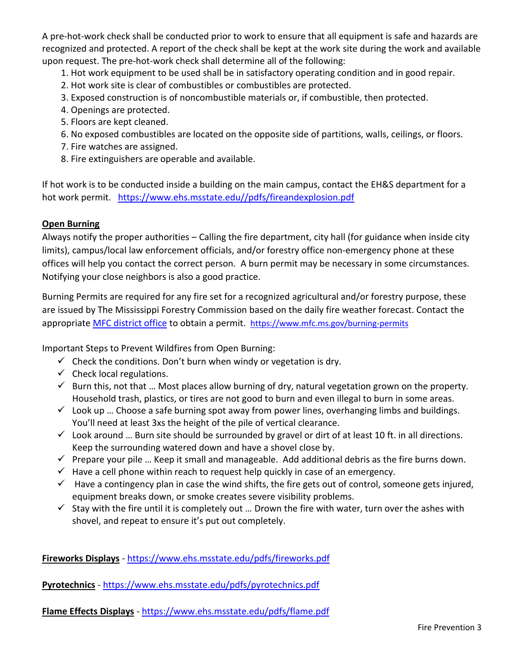A pre-hot-work check shall be conducted prior to work to ensure that all equipment is safe and hazards are recognized and protected. A report of the check shall be kept at the work site during the work and available upon request. The pre-hot-work check shall determine all of the following:

1. Hot work equipment to be used shall be in satisfactory operating condition and in good repair.

- 2. Hot work site is clear of combustibles or combustibles are protected.
- 3. Exposed construction is of noncombustible materials or, if combustible, then protected.
- 4. Openings are protected.
- 5. Floors are kept cleaned.
- 6. No exposed combustibles are located on the opposite side of partitions, walls, ceilings, or floors.
- 7. Fire watches are assigned.
- 8. Fire extinguishers are operable and available.

If hot work is to be conducted inside a building on the main campus, contact the EH&S department for a hot work permit. [https://www.ehs.msstate.edu//pdfs/fireandexplosion.pdf](https://www.ehs.msstate.edu/pdfs/fireandexplosion.pdf)

# **Open Burning**

Always notify the proper authorities – Calling the fire department, city hall (for guidance when inside city limits), campus/local law enforcement officials, and/or forestry office non-emergency phone at these offices will help you contact the correct person. A burn permit may be necessary in some circumstances. Notifying your close neighbors is also a good practice.

Burning Permits are required for any fire set for a recognized agricultural and/or forestry purpose, these are issued by The Mississippi Forestry Commission based on the daily fire weather forecast. Contact the appropriate [MFC district office](http://www.mfc.ms.gov/offices) to obtain a permit. <https://www.mfc.ms.gov/burning-permits>

Important Steps to Prevent Wildfires from Open Burning:

- $\checkmark$  Check the conditions. Don't burn when windy or vegetation is dry.
- $\checkmark$  Check local regulations.
- $\checkmark$  Burn this, not that ... Most places allow burning of dry, natural vegetation grown on the property. Household trash, plastics, or tires are not good to burn and even illegal to burn in some areas.
- $\checkmark$  Look up ... Choose a safe burning spot away from power lines, overhanging limbs and buildings. You'll need at least 3xs the height of the pile of vertical clearance.
- $\checkmark$  Look around ... Burn site should be surrounded by gravel or dirt of at least 10 ft. in all directions. Keep the surrounding watered down and have a shovel close by.
- $\checkmark$  Prepare your pile ... Keep it small and manageable. Add additional debris as the fire burns down.
- $\checkmark$  Have a cell phone within reach to request help quickly in case of an emergency.
- $\checkmark$  Have a contingency plan in case the wind shifts, the fire gets out of control, someone gets injured, equipment breaks down, or smoke creates severe visibility problems.
- $\checkmark$  Stay with the fire until it is completely out ... Drown the fire with water, turn over the ashes with shovel, and repeat to ensure it's put out completely.

**Fireworks Displays** - <https://www.ehs.msstate.edu/pdfs/fireworks.pdf>

**Pyrotechnics** - <https://www.ehs.msstate.edu/pdfs/pyrotechnics.pdf>

**Flame Effects Displays** - <https://www.ehs.msstate.edu/pdfs/flame.pdf>